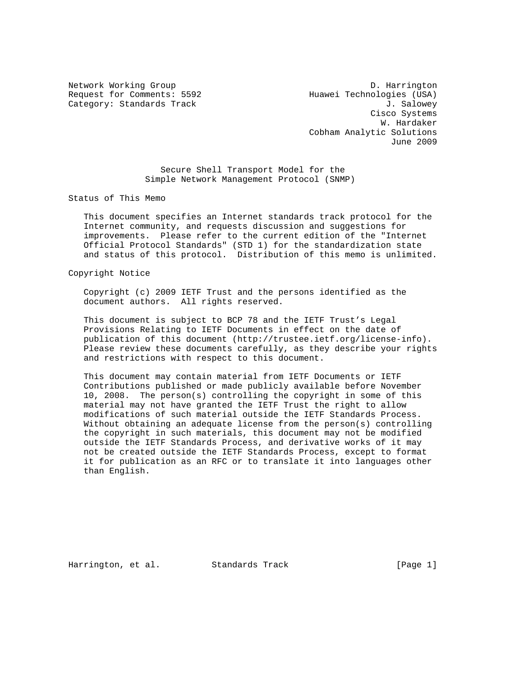Request for Comments: 5592 Huawei Technologies (USA) Category: Standards Track J. Salowey

Network Working Group D. Harrington Cisco Systems W. Hardaker Cobham Analytic Solutions June 2009

> Secure Shell Transport Model for the Simple Network Management Protocol (SNMP)

Status of This Memo

 This document specifies an Internet standards track protocol for the Internet community, and requests discussion and suggestions for improvements. Please refer to the current edition of the "Internet Official Protocol Standards" (STD 1) for the standardization state and status of this protocol. Distribution of this memo is unlimited.

Copyright Notice

 Copyright (c) 2009 IETF Trust and the persons identified as the document authors. All rights reserved.

 This document is subject to BCP 78 and the IETF Trust's Legal Provisions Relating to IETF Documents in effect on the date of publication of this document (http://trustee.ietf.org/license-info). Please review these documents carefully, as they describe your rights and restrictions with respect to this document.

 This document may contain material from IETF Documents or IETF Contributions published or made publicly available before November 10, 2008. The person(s) controlling the copyright in some of this material may not have granted the IETF Trust the right to allow modifications of such material outside the IETF Standards Process. Without obtaining an adequate license from the person(s) controlling the copyright in such materials, this document may not be modified outside the IETF Standards Process, and derivative works of it may not be created outside the IETF Standards Process, except to format it for publication as an RFC or to translate it into languages other than English.

Harrington, et al. Standards Track [Page 1]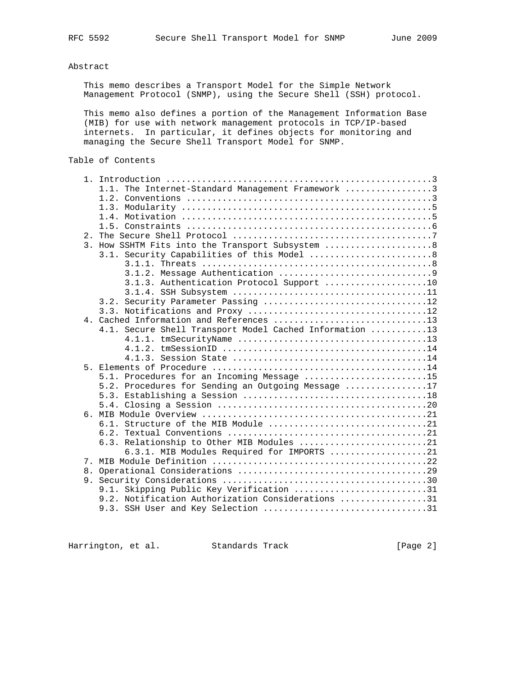# Abstract

 This memo describes a Transport Model for the Simple Network Management Protocol (SNMP), using the Secure Shell (SSH) protocol.

 This memo also defines a portion of the Management Information Base (MIB) for use with network management protocols in TCP/IP-based internets. In particular, it defines objects for monitoring and managing the Secure Shell Transport Model for SNMP.

| Table of Contents |  |
|-------------------|--|
|-------------------|--|

|    | 1.1. The Internet-Standard Management Framework 3       |
|----|---------------------------------------------------------|
|    |                                                         |
|    |                                                         |
|    |                                                         |
|    |                                                         |
|    |                                                         |
| 2. |                                                         |
|    | 3. How SSHTM Fits into the Transport Subsystem  8       |
|    |                                                         |
|    |                                                         |
|    |                                                         |
|    | 3.1.3. Authentication Protocol Support 10               |
|    |                                                         |
|    | 3.2. Security Parameter Passing 12                      |
|    |                                                         |
|    | 4. Cached Information and References 13                 |
|    | 4.1. Secure Shell Transport Model Cached Information 13 |
|    |                                                         |
|    |                                                         |
|    |                                                         |
|    |                                                         |
|    | 5.1. Procedures for an Incoming Message 15              |
|    | 5.2. Procedures for Sending an Outgoing Message 17      |
|    |                                                         |
|    |                                                         |
|    |                                                         |
|    |                                                         |
|    |                                                         |
|    |                                                         |
|    | 6.3. Relationship to Other MIB Modules 21               |
|    | 6.3.1. MIB Modules Required for IMPORTS 21              |
|    |                                                         |
|    |                                                         |
|    |                                                         |
|    | 9.1. Skipping Public Key Verification 31                |
|    | 9.2. Notification Authorization Considerations 31       |
|    | 9.3. SSH User and Key Selection 31                      |
|    |                                                         |

Harrington, et al. Standards Track [Page 2]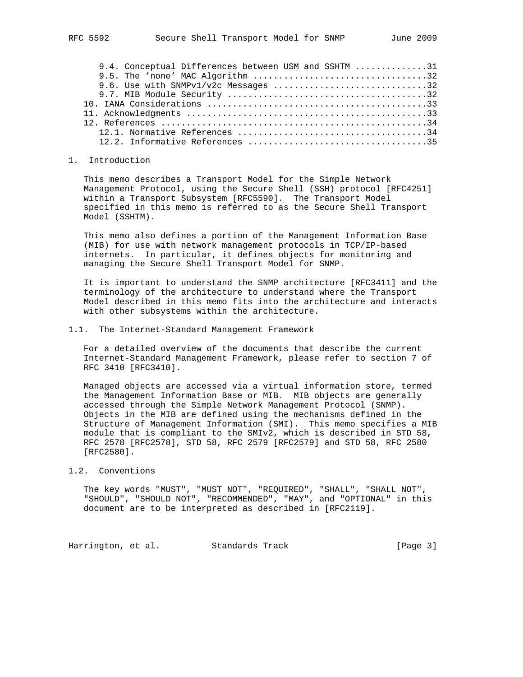| 9.4. Conceptual Differences between USM and SSHTM 31 |  |
|------------------------------------------------------|--|
|                                                      |  |
| 9.6. Use with SNMPv1/v2c Messages 32                 |  |
|                                                      |  |
|                                                      |  |
|                                                      |  |
|                                                      |  |
|                                                      |  |
|                                                      |  |

#### 1. Introduction

 This memo describes a Transport Model for the Simple Network Management Protocol, using the Secure Shell (SSH) protocol [RFC4251] within a Transport Subsystem [RFC5590]. The Transport Model specified in this memo is referred to as the Secure Shell Transport Model (SSHTM).

 This memo also defines a portion of the Management Information Base (MIB) for use with network management protocols in TCP/IP-based internets. In particular, it defines objects for monitoring and managing the Secure Shell Transport Model for SNMP.

 It is important to understand the SNMP architecture [RFC3411] and the terminology of the architecture to understand where the Transport Model described in this memo fits into the architecture and interacts with other subsystems within the architecture.

### 1.1. The Internet-Standard Management Framework

 For a detailed overview of the documents that describe the current Internet-Standard Management Framework, please refer to section 7 of RFC 3410 [RFC3410].

 Managed objects are accessed via a virtual information store, termed the Management Information Base or MIB. MIB objects are generally accessed through the Simple Network Management Protocol (SNMP). Objects in the MIB are defined using the mechanisms defined in the Structure of Management Information (SMI). This memo specifies a MIB module that is compliant to the SMIv2, which is described in STD 58, RFC 2578 [RFC2578], STD 58, RFC 2579 [RFC2579] and STD 58, RFC 2580 [RFC2580].

### 1.2. Conventions

 The key words "MUST", "MUST NOT", "REQUIRED", "SHALL", "SHALL NOT", "SHOULD", "SHOULD NOT", "RECOMMENDED", "MAY", and "OPTIONAL" in this document are to be interpreted as described in [RFC2119].

Harrington, et al. Standards Track [Page 3]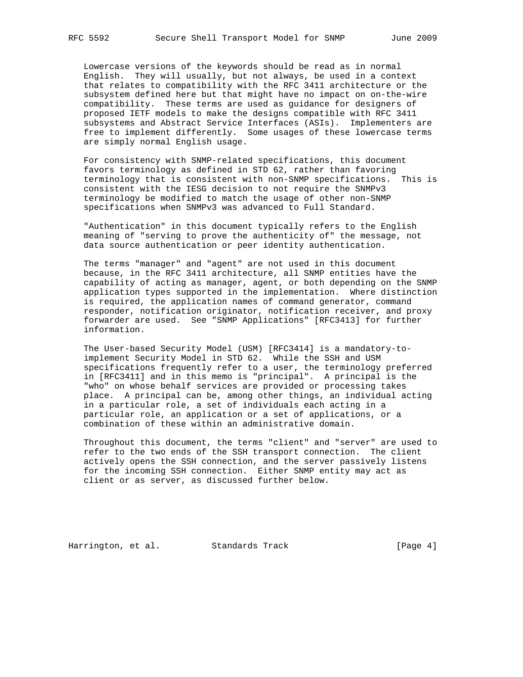Lowercase versions of the keywords should be read as in normal English. They will usually, but not always, be used in a context that relates to compatibility with the RFC 3411 architecture or the subsystem defined here but that might have no impact on on-the-wire compatibility. These terms are used as guidance for designers of proposed IETF models to make the designs compatible with RFC 3411 subsystems and Abstract Service Interfaces (ASIs). Implementers are free to implement differently. Some usages of these lowercase terms are simply normal English usage.

 For consistency with SNMP-related specifications, this document favors terminology as defined in STD 62, rather than favoring terminology that is consistent with non-SNMP specifications. This is consistent with the IESG decision to not require the SNMPv3 terminology be modified to match the usage of other non-SNMP specifications when SNMPv3 was advanced to Full Standard.

 "Authentication" in this document typically refers to the English meaning of "serving to prove the authenticity of" the message, not data source authentication or peer identity authentication.

 The terms "manager" and "agent" are not used in this document because, in the RFC 3411 architecture, all SNMP entities have the capability of acting as manager, agent, or both depending on the SNMP application types supported in the implementation. Where distinction is required, the application names of command generator, command responder, notification originator, notification receiver, and proxy forwarder are used. See "SNMP Applications" [RFC3413] for further information.

 The User-based Security Model (USM) [RFC3414] is a mandatory-to implement Security Model in STD 62. While the SSH and USM specifications frequently refer to a user, the terminology preferred in [RFC3411] and in this memo is "principal". A principal is the "who" on whose behalf services are provided or processing takes place. A principal can be, among other things, an individual acting in a particular role, a set of individuals each acting in a particular role, an application or a set of applications, or a combination of these within an administrative domain.

 Throughout this document, the terms "client" and "server" are used to refer to the two ends of the SSH transport connection. The client actively opens the SSH connection, and the server passively listens for the incoming SSH connection. Either SNMP entity may act as client or as server, as discussed further below.

Harrington, et al. Standards Track [Page 4]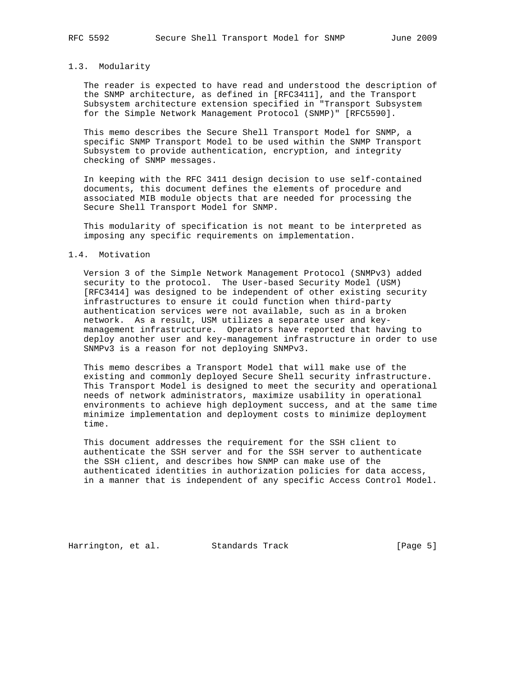## 1.3. Modularity

 The reader is expected to have read and understood the description of the SNMP architecture, as defined in [RFC3411], and the Transport Subsystem architecture extension specified in "Transport Subsystem for the Simple Network Management Protocol (SNMP)" [RFC5590].

 This memo describes the Secure Shell Transport Model for SNMP, a specific SNMP Transport Model to be used within the SNMP Transport Subsystem to provide authentication, encryption, and integrity checking of SNMP messages.

 In keeping with the RFC 3411 design decision to use self-contained documents, this document defines the elements of procedure and associated MIB module objects that are needed for processing the Secure Shell Transport Model for SNMP.

 This modularity of specification is not meant to be interpreted as imposing any specific requirements on implementation.

### 1.4. Motivation

 Version 3 of the Simple Network Management Protocol (SNMPv3) added security to the protocol. The User-based Security Model (USM) [RFC3414] was designed to be independent of other existing security infrastructures to ensure it could function when third-party authentication services were not available, such as in a broken network. As a result, USM utilizes a separate user and key management infrastructure. Operators have reported that having to deploy another user and key-management infrastructure in order to use SNMPv3 is a reason for not deploying SNMPv3.

 This memo describes a Transport Model that will make use of the existing and commonly deployed Secure Shell security infrastructure. This Transport Model is designed to meet the security and operational needs of network administrators, maximize usability in operational environments to achieve high deployment success, and at the same time minimize implementation and deployment costs to minimize deployment time.

 This document addresses the requirement for the SSH client to authenticate the SSH server and for the SSH server to authenticate the SSH client, and describes how SNMP can make use of the authenticated identities in authorization policies for data access, in a manner that is independent of any specific Access Control Model.

Harrington, et al. Standards Track [Page 5]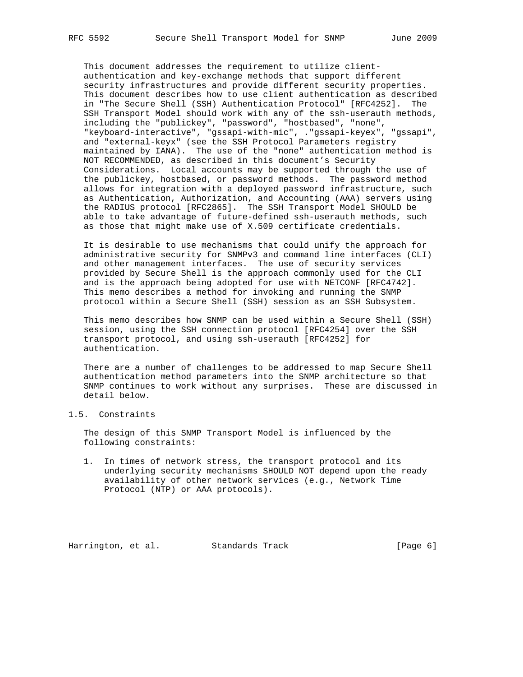This document addresses the requirement to utilize client authentication and key-exchange methods that support different security infrastructures and provide different security properties. This document describes how to use client authentication as described in "The Secure Shell (SSH) Authentication Protocol" [RFC4252]. The SSH Transport Model should work with any of the ssh-userauth methods, including the "publickey", "password", "hostbased", "none", "keyboard-interactive", "gssapi-with-mic", ."gssapi-keyex", "gssapi", and "external-keyx" (see the SSH Protocol Parameters registry maintained by IANA). The use of the "none" authentication method is NOT RECOMMENDED, as described in this document's Security Considerations. Local accounts may be supported through the use of the publickey, hostbased, or password methods. The password method allows for integration with a deployed password infrastructure, such as Authentication, Authorization, and Accounting (AAA) servers using the RADIUS protocol [RFC2865]. The SSH Transport Model SHOULD be able to take advantage of future-defined ssh-userauth methods, such as those that might make use of X.509 certificate credentials.

 It is desirable to use mechanisms that could unify the approach for administrative security for SNMPv3 and command line interfaces (CLI) and other management interfaces. The use of security services provided by Secure Shell is the approach commonly used for the CLI and is the approach being adopted for use with NETCONF [RFC4742]. This memo describes a method for invoking and running the SNMP protocol within a Secure Shell (SSH) session as an SSH Subsystem.

 This memo describes how SNMP can be used within a Secure Shell (SSH) session, using the SSH connection protocol [RFC4254] over the SSH transport protocol, and using ssh-userauth [RFC4252] for authentication.

 There are a number of challenges to be addressed to map Secure Shell authentication method parameters into the SNMP architecture so that SNMP continues to work without any surprises. These are discussed in detail below.

## 1.5. Constraints

 The design of this SNMP Transport Model is influenced by the following constraints:

 1. In times of network stress, the transport protocol and its underlying security mechanisms SHOULD NOT depend upon the ready availability of other network services (e.g., Network Time Protocol (NTP) or AAA protocols).

Harrington, et al. Standards Track [Page 6]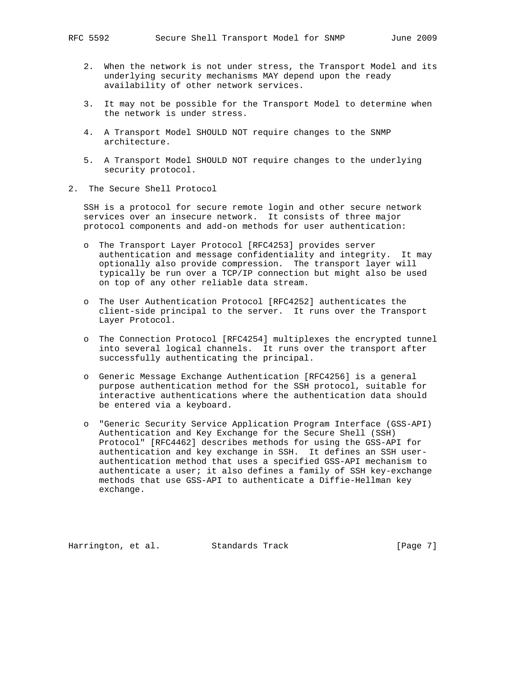- 2. When the network is not under stress, the Transport Model and its underlying security mechanisms MAY depend upon the ready availability of other network services.
- 3. It may not be possible for the Transport Model to determine when the network is under stress.
- 4. A Transport Model SHOULD NOT require changes to the SNMP architecture.
- 5. A Transport Model SHOULD NOT require changes to the underlying security protocol.
- 2. The Secure Shell Protocol

 SSH is a protocol for secure remote login and other secure network services over an insecure network. It consists of three major protocol components and add-on methods for user authentication:

- o The Transport Layer Protocol [RFC4253] provides server authentication and message confidentiality and integrity. It may optionally also provide compression. The transport layer will typically be run over a TCP/IP connection but might also be used on top of any other reliable data stream.
- o The User Authentication Protocol [RFC4252] authenticates the client-side principal to the server. It runs over the Transport Layer Protocol.
- o The Connection Protocol [RFC4254] multiplexes the encrypted tunnel into several logical channels. It runs over the transport after successfully authenticating the principal.
- o Generic Message Exchange Authentication [RFC4256] is a general purpose authentication method for the SSH protocol, suitable for interactive authentications where the authentication data should be entered via a keyboard.
- o "Generic Security Service Application Program Interface (GSS-API) Authentication and Key Exchange for the Secure Shell (SSH) Protocol" [RFC4462] describes methods for using the GSS-API for authentication and key exchange in SSH. It defines an SSH user authentication method that uses a specified GSS-API mechanism to authenticate a user; it also defines a family of SSH key-exchange methods that use GSS-API to authenticate a Diffie-Hellman key exchange.

Harrington, et al. Standards Track [Page 7]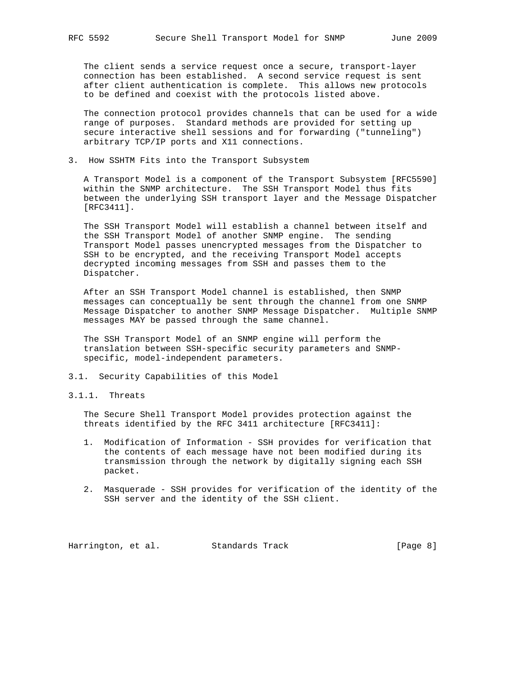The client sends a service request once a secure, transport-layer connection has been established. A second service request is sent after client authentication is complete. This allows new protocols to be defined and coexist with the protocols listed above.

 The connection protocol provides channels that can be used for a wide range of purposes. Standard methods are provided for setting up secure interactive shell sessions and for forwarding ("tunneling") arbitrary TCP/IP ports and X11 connections.

3. How SSHTM Fits into the Transport Subsystem

 A Transport Model is a component of the Transport Subsystem [RFC5590] within the SNMP architecture. The SSH Transport Model thus fits between the underlying SSH transport layer and the Message Dispatcher [RFC3411].

 The SSH Transport Model will establish a channel between itself and the SSH Transport Model of another SNMP engine. The sending Transport Model passes unencrypted messages from the Dispatcher to SSH to be encrypted, and the receiving Transport Model accepts decrypted incoming messages from SSH and passes them to the Dispatcher.

 After an SSH Transport Model channel is established, then SNMP messages can conceptually be sent through the channel from one SNMP Message Dispatcher to another SNMP Message Dispatcher. Multiple SNMP messages MAY be passed through the same channel.

 The SSH Transport Model of an SNMP engine will perform the translation between SSH-specific security parameters and SNMP specific, model-independent parameters.

- 3.1. Security Capabilities of this Model
- 3.1.1. Threats

 The Secure Shell Transport Model provides protection against the threats identified by the RFC 3411 architecture [RFC3411]:

- 1. Modification of Information SSH provides for verification that the contents of each message have not been modified during its transmission through the network by digitally signing each SSH packet.
- 2. Masquerade SSH provides for verification of the identity of the SSH server and the identity of the SSH client.

Harrington, et al. Standards Track [Page 8]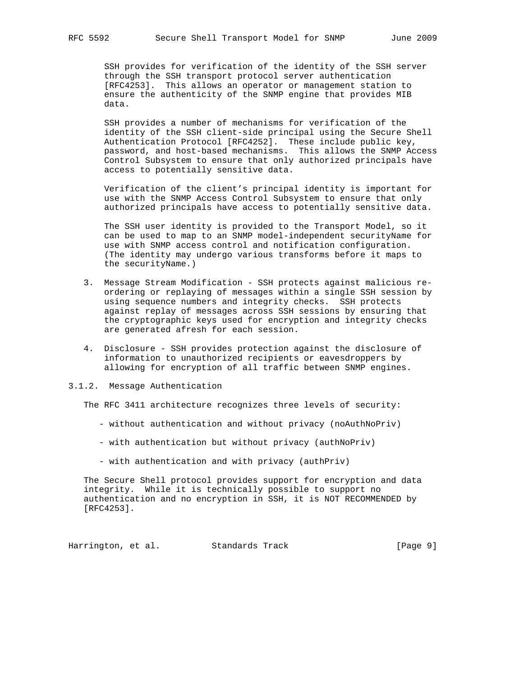SSH provides for verification of the identity of the SSH server through the SSH transport protocol server authentication [RFC4253]. This allows an operator or management station to ensure the authenticity of the SNMP engine that provides MIB data.

 SSH provides a number of mechanisms for verification of the identity of the SSH client-side principal using the Secure Shell Authentication Protocol [RFC4252]. These include public key, password, and host-based mechanisms. This allows the SNMP Access Control Subsystem to ensure that only authorized principals have access to potentially sensitive data.

 Verification of the client's principal identity is important for use with the SNMP Access Control Subsystem to ensure that only authorized principals have access to potentially sensitive data.

 The SSH user identity is provided to the Transport Model, so it can be used to map to an SNMP model-independent securityName for use with SNMP access control and notification configuration. (The identity may undergo various transforms before it maps to the securityName.)

- 3. Message Stream Modification SSH protects against malicious re ordering or replaying of messages within a single SSH session by using sequence numbers and integrity checks. SSH protects against replay of messages across SSH sessions by ensuring that the cryptographic keys used for encryption and integrity checks are generated afresh for each session.
- 4. Disclosure SSH provides protection against the disclosure of information to unauthorized recipients or eavesdroppers by allowing for encryption of all traffic between SNMP engines.
- 3.1.2. Message Authentication

The RFC 3411 architecture recognizes three levels of security:

- without authentication and without privacy (noAuthNoPriv)
- with authentication but without privacy (authNoPriv)
- with authentication and with privacy (authPriv)

 The Secure Shell protocol provides support for encryption and data integrity. While it is technically possible to support no authentication and no encryption in SSH, it is NOT RECOMMENDED by [RFC4253].

Harrington, et al. Standards Track [Page 9]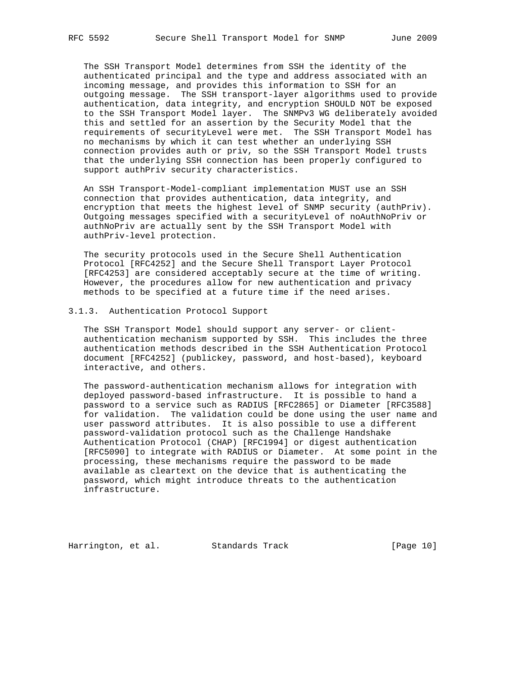The SSH Transport Model determines from SSH the identity of the authenticated principal and the type and address associated with an incoming message, and provides this information to SSH for an outgoing message. The SSH transport-layer algorithms used to provide authentication, data integrity, and encryption SHOULD NOT be exposed to the SSH Transport Model layer. The SNMPv3 WG deliberately avoided this and settled for an assertion by the Security Model that the requirements of securityLevel were met. The SSH Transport Model has no mechanisms by which it can test whether an underlying SSH connection provides auth or priv, so the SSH Transport Model trusts that the underlying SSH connection has been properly configured to support authPriv security characteristics.

 An SSH Transport-Model-compliant implementation MUST use an SSH connection that provides authentication, data integrity, and encryption that meets the highest level of SNMP security (authPriv). Outgoing messages specified with a securityLevel of noAuthNoPriv or authNoPriv are actually sent by the SSH Transport Model with authPriv-level protection.

 The security protocols used in the Secure Shell Authentication Protocol [RFC4252] and the Secure Shell Transport Layer Protocol [RFC4253] are considered acceptably secure at the time of writing. However, the procedures allow for new authentication and privacy methods to be specified at a future time if the need arises.

## 3.1.3. Authentication Protocol Support

 The SSH Transport Model should support any server- or client authentication mechanism supported by SSH. This includes the three authentication methods described in the SSH Authentication Protocol document [RFC4252] (publickey, password, and host-based), keyboard interactive, and others.

 The password-authentication mechanism allows for integration with deployed password-based infrastructure. It is possible to hand a password to a service such as RADIUS [RFC2865] or Diameter [RFC3588] for validation. The validation could be done using the user name and user password attributes. It is also possible to use a different password-validation protocol such as the Challenge Handshake Authentication Protocol (CHAP) [RFC1994] or digest authentication [RFC5090] to integrate with RADIUS or Diameter. At some point in the processing, these mechanisms require the password to be made available as cleartext on the device that is authenticating the password, which might introduce threats to the authentication infrastructure.

Harrington, et al. Standards Track [Page 10]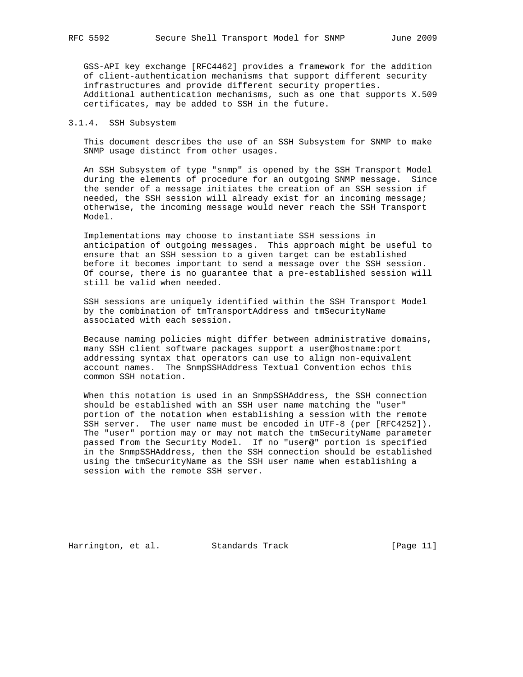GSS-API key exchange [RFC4462] provides a framework for the addition of client-authentication mechanisms that support different security infrastructures and provide different security properties. Additional authentication mechanisms, such as one that supports X.509 certificates, may be added to SSH in the future.

### 3.1.4. SSH Subsystem

 This document describes the use of an SSH Subsystem for SNMP to make SNMP usage distinct from other usages.

 An SSH Subsystem of type "snmp" is opened by the SSH Transport Model during the elements of procedure for an outgoing SNMP message. Since the sender of a message initiates the creation of an SSH session if needed, the SSH session will already exist for an incoming message; otherwise, the incoming message would never reach the SSH Transport Model.

 Implementations may choose to instantiate SSH sessions in anticipation of outgoing messages. This approach might be useful to ensure that an SSH session to a given target can be established before it becomes important to send a message over the SSH session. Of course, there is no guarantee that a pre-established session will still be valid when needed.

 SSH sessions are uniquely identified within the SSH Transport Model by the combination of tmTransportAddress and tmSecurityName associated with each session.

 Because naming policies might differ between administrative domains, many SSH client software packages support a user@hostname:port addressing syntax that operators can use to align non-equivalent account names. The SnmpSSHAddress Textual Convention echos this common SSH notation.

 When this notation is used in an SnmpSSHAddress, the SSH connection should be established with an SSH user name matching the "user" portion of the notation when establishing a session with the remote SSH server. The user name must be encoded in UTF-8 (per [RFC4252]). The "user" portion may or may not match the tmSecurityName parameter passed from the Security Model. If no "user@" portion is specified in the SnmpSSHAddress, then the SSH connection should be established using the tmSecurityName as the SSH user name when establishing a session with the remote SSH server.

Harrington, et al. Standards Track [Page 11]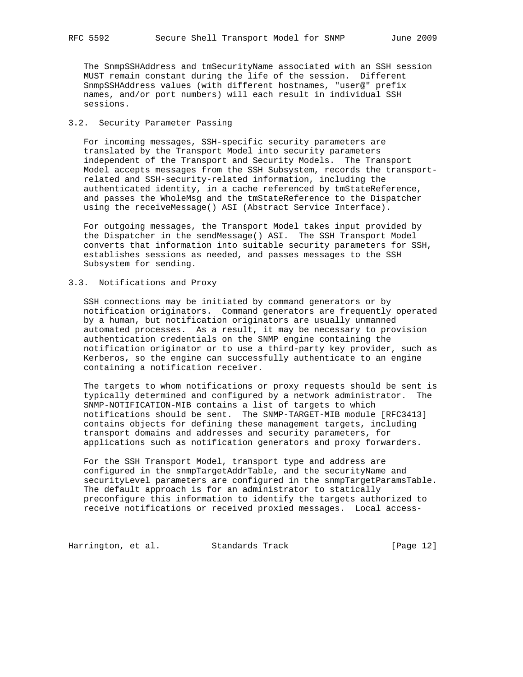The SnmpSSHAddress and tmSecurityName associated with an SSH session MUST remain constant during the life of the session. Different SnmpSSHAddress values (with different hostnames, "user@" prefix names, and/or port numbers) will each result in individual SSH sessions.

# 3.2. Security Parameter Passing

 For incoming messages, SSH-specific security parameters are translated by the Transport Model into security parameters independent of the Transport and Security Models. The Transport Model accepts messages from the SSH Subsystem, records the transport related and SSH-security-related information, including the authenticated identity, in a cache referenced by tmStateReference, and passes the WholeMsg and the tmStateReference to the Dispatcher using the receiveMessage() ASI (Abstract Service Interface).

 For outgoing messages, the Transport Model takes input provided by the Dispatcher in the sendMessage() ASI. The SSH Transport Model converts that information into suitable security parameters for SSH, establishes sessions as needed, and passes messages to the SSH Subsystem for sending.

## 3.3. Notifications and Proxy

 SSH connections may be initiated by command generators or by notification originators. Command generators are frequently operated by a human, but notification originators are usually unmanned automated processes. As a result, it may be necessary to provision authentication credentials on the SNMP engine containing the notification originator or to use a third-party key provider, such as Kerberos, so the engine can successfully authenticate to an engine containing a notification receiver.

 The targets to whom notifications or proxy requests should be sent is typically determined and configured by a network administrator. The SNMP-NOTIFICATION-MIB contains a list of targets to which notifications should be sent. The SNMP-TARGET-MIB module [RFC3413] contains objects for defining these management targets, including transport domains and addresses and security parameters, for applications such as notification generators and proxy forwarders.

 For the SSH Transport Model, transport type and address are configured in the snmpTargetAddrTable, and the securityName and securityLevel parameters are configured in the snmpTargetParamsTable. The default approach is for an administrator to statically preconfigure this information to identify the targets authorized to receive notifications or received proxied messages. Local access-

Harrington, et al. Standards Track [Page 12]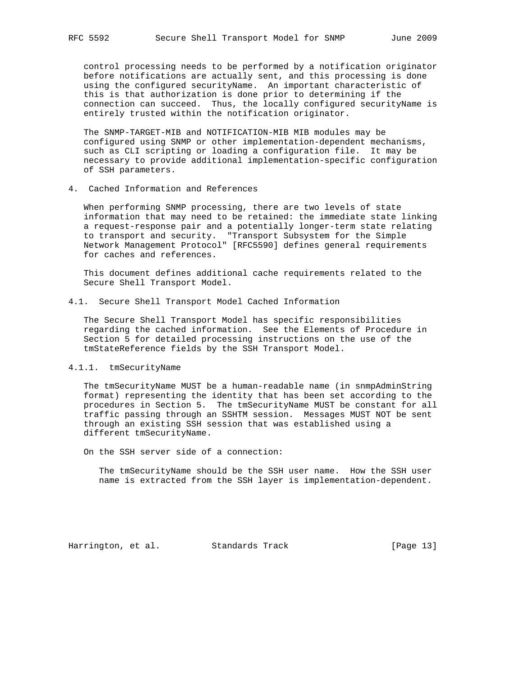control processing needs to be performed by a notification originator before notifications are actually sent, and this processing is done using the configured securityName. An important characteristic of this is that authorization is done prior to determining if the connection can succeed. Thus, the locally configured securityName is entirely trusted within the notification originator.

 The SNMP-TARGET-MIB and NOTIFICATION-MIB MIB modules may be configured using SNMP or other implementation-dependent mechanisms, such as CLI scripting or loading a configuration file. It may be necessary to provide additional implementation-specific configuration of SSH parameters.

4. Cached Information and References

 When performing SNMP processing, there are two levels of state information that may need to be retained: the immediate state linking a request-response pair and a potentially longer-term state relating to transport and security. "Transport Subsystem for the Simple Network Management Protocol" [RFC5590] defines general requirements for caches and references.

 This document defines additional cache requirements related to the Secure Shell Transport Model.

4.1. Secure Shell Transport Model Cached Information

 The Secure Shell Transport Model has specific responsibilities regarding the cached information. See the Elements of Procedure in Section 5 for detailed processing instructions on the use of the tmStateReference fields by the SSH Transport Model.

## 4.1.1. tmSecurityName

 The tmSecurityName MUST be a human-readable name (in snmpAdminString format) representing the identity that has been set according to the procedures in Section 5. The tmSecurityName MUST be constant for all traffic passing through an SSHTM session. Messages MUST NOT be sent through an existing SSH session that was established using a different tmSecurityName.

On the SSH server side of a connection:

 The tmSecurityName should be the SSH user name. How the SSH user name is extracted from the SSH layer is implementation-dependent.

Harrington, et al. Standards Track [Page 13]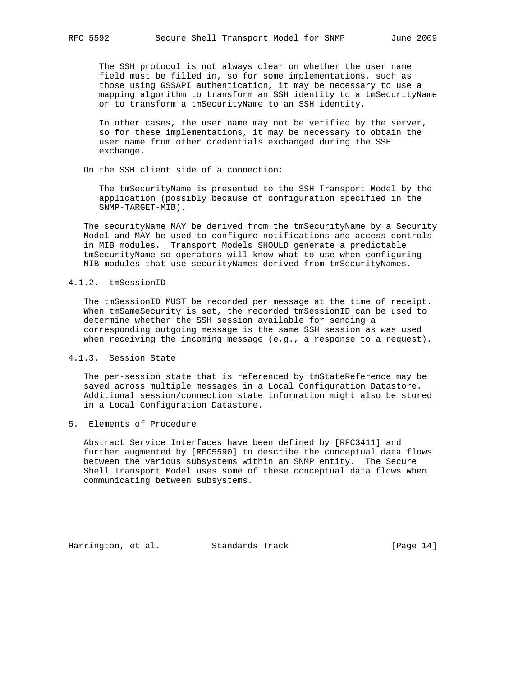The SSH protocol is not always clear on whether the user name field must be filled in, so for some implementations, such as those using GSSAPI authentication, it may be necessary to use a mapping algorithm to transform an SSH identity to a tmSecurityName or to transform a tmSecurityName to an SSH identity.

 In other cases, the user name may not be verified by the server, so for these implementations, it may be necessary to obtain the user name from other credentials exchanged during the SSH exchange.

On the SSH client side of a connection:

 The tmSecurityName is presented to the SSH Transport Model by the application (possibly because of configuration specified in the SNMP-TARGET-MIB).

 The securityName MAY be derived from the tmSecurityName by a Security Model and MAY be used to configure notifications and access controls in MIB modules. Transport Models SHOULD generate a predictable tmSecurityName so operators will know what to use when configuring MIB modules that use securityNames derived from tmSecurityNames.

### 4.1.2. tmSessionID

 The tmSessionID MUST be recorded per message at the time of receipt. When tmSameSecurity is set, the recorded tmSessionID can be used to determine whether the SSH session available for sending a corresponding outgoing message is the same SSH session as was used when receiving the incoming message (e.g., a response to a request).

4.1.3. Session State

 The per-session state that is referenced by tmStateReference may be saved across multiple messages in a Local Configuration Datastore. Additional session/connection state information might also be stored in a Local Configuration Datastore.

5. Elements of Procedure

 Abstract Service Interfaces have been defined by [RFC3411] and further augmented by [RFC5590] to describe the conceptual data flows between the various subsystems within an SNMP entity. The Secure Shell Transport Model uses some of these conceptual data flows when communicating between subsystems.

Harrington, et al. Standards Track [Page 14]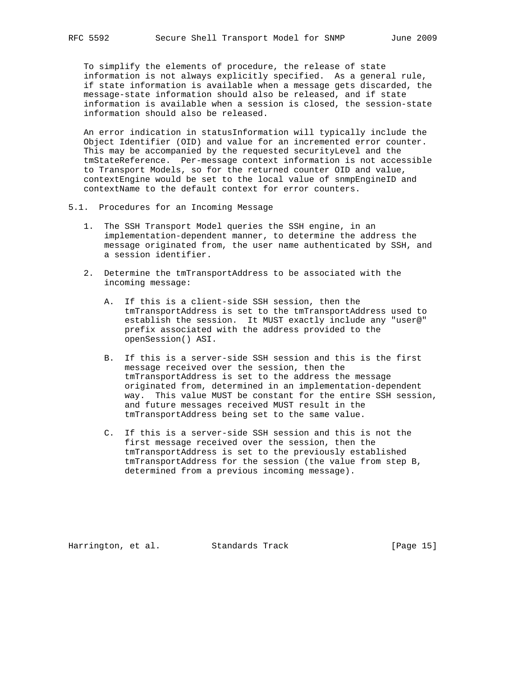To simplify the elements of procedure, the release of state information is not always explicitly specified. As a general rule, if state information is available when a message gets discarded, the message-state information should also be released, and if state information is available when a session is closed, the session-state information should also be released.

 An error indication in statusInformation will typically include the Object Identifier (OID) and value for an incremented error counter. This may be accompanied by the requested securityLevel and the tmStateReference. Per-message context information is not accessible to Transport Models, so for the returned counter OID and value, contextEngine would be set to the local value of snmpEngineID and contextName to the default context for error counters.

- 5.1. Procedures for an Incoming Message
	- 1. The SSH Transport Model queries the SSH engine, in an implementation-dependent manner, to determine the address the message originated from, the user name authenticated by SSH, and a session identifier.
	- 2. Determine the tmTransportAddress to be associated with the incoming message:
		- A. If this is a client-side SSH session, then the tmTransportAddress is set to the tmTransportAddress used to establish the session. It MUST exactly include any "user@" prefix associated with the address provided to the openSession() ASI.
		- B. If this is a server-side SSH session and this is the first message received over the session, then the tmTransportAddress is set to the address the message originated from, determined in an implementation-dependent way. This value MUST be constant for the entire SSH session, and future messages received MUST result in the tmTransportAddress being set to the same value.
		- C. If this is a server-side SSH session and this is not the first message received over the session, then the tmTransportAddress is set to the previously established tmTransportAddress for the session (the value from step B, determined from a previous incoming message).

Harrington, et al. Standards Track [Page 15]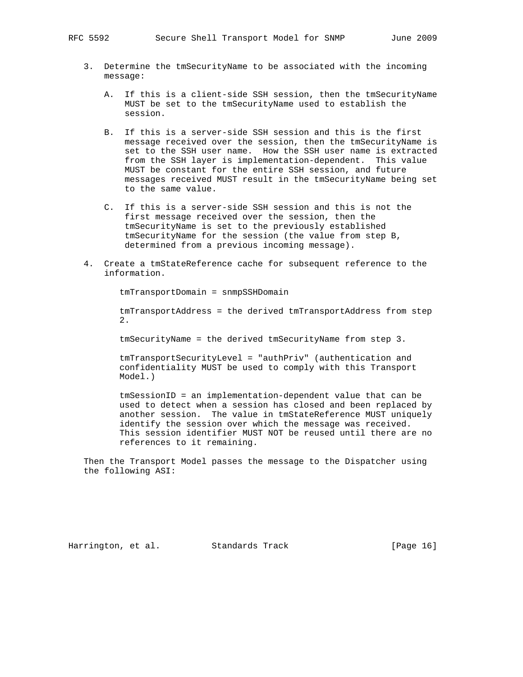- 3. Determine the tmSecurityName to be associated with the incoming message:
	- A. If this is a client-side SSH session, then the tmSecurityName MUST be set to the tmSecurityName used to establish the session.
	- B. If this is a server-side SSH session and this is the first message received over the session, then the tmSecurityName is set to the SSH user name. How the SSH user name is extracted from the SSH layer is implementation-dependent. This value MUST be constant for the entire SSH session, and future messages received MUST result in the tmSecurityName being set to the same value.
	- C. If this is a server-side SSH session and this is not the first message received over the session, then the tmSecurityName is set to the previously established tmSecurityName for the session (the value from step B, determined from a previous incoming message).
- 4. Create a tmStateReference cache for subsequent reference to the information.

tmTransportDomain = snmpSSHDomain

 tmTransportAddress = the derived tmTransportAddress from step  $2.$ 

tmSecurityName = the derived tmSecurityName from step 3.

 tmTransportSecurityLevel = "authPriv" (authentication and confidentiality MUST be used to comply with this Transport Model.)

 tmSessionID = an implementation-dependent value that can be used to detect when a session has closed and been replaced by another session. The value in tmStateReference MUST uniquely identify the session over which the message was received. This session identifier MUST NOT be reused until there are no references to it remaining.

 Then the Transport Model passes the message to the Dispatcher using the following ASI:

Harrington, et al. Standards Track [Page 16]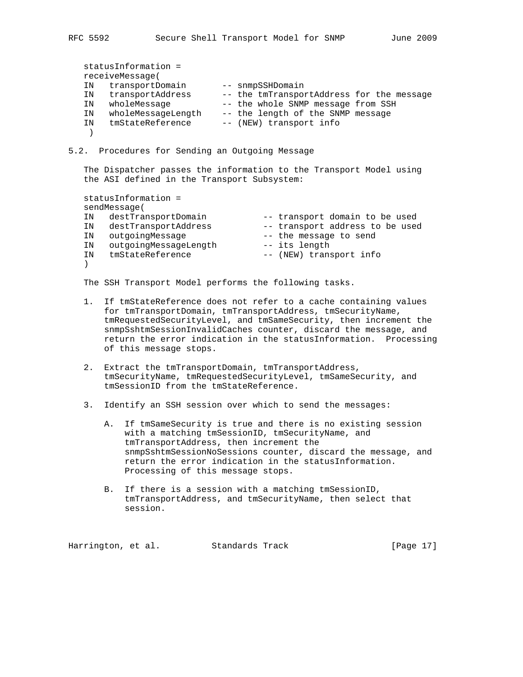statusInformation = receiveMessage( IN transportDomain -- snmpSSHDomain IN transportAddress -- the tmTransportAddress for the message IN wholeMessage -- the whole SNMP message from SSH IN wholeMessageLength -- the length of the SNMP message IN tmStateReference -- (NEW) transport info )

# 5.2. Procedures for Sending an Outgoing Message

 The Dispatcher passes the information to the Transport Model using the ASI defined in the Transport Subsystem:

 statusInformation = sendMessage( IN destTransportDomain -- transport domain to be used IN destTransportAddress -- transport address to be used IN outgoingMessage  $-$  the message to send IN outgoingMessageLength -- its length IN tmStateReference -- (NEW) transport info  $)$ 

The SSH Transport Model performs the following tasks.

- 1. If tmStateReference does not refer to a cache containing values for tmTransportDomain, tmTransportAddress, tmSecurityName, tmRequestedSecurityLevel, and tmSameSecurity, then increment the snmpSshtmSessionInvalidCaches counter, discard the message, and return the error indication in the statusInformation. Processing of this message stops.
- 2. Extract the tmTransportDomain, tmTransportAddress, tmSecurityName, tmRequestedSecurityLevel, tmSameSecurity, and tmSessionID from the tmStateReference.
- 3. Identify an SSH session over which to send the messages:
	- A. If tmSameSecurity is true and there is no existing session with a matching tmSessionID, tmSecurityName, and tmTransportAddress, then increment the snmpSshtmSessionNoSessions counter, discard the message, and return the error indication in the statusInformation. Processing of this message stops.
	- B. If there is a session with a matching tmSessionID, tmTransportAddress, and tmSecurityName, then select that session.

Harrington, et al. Standards Track [Page 17]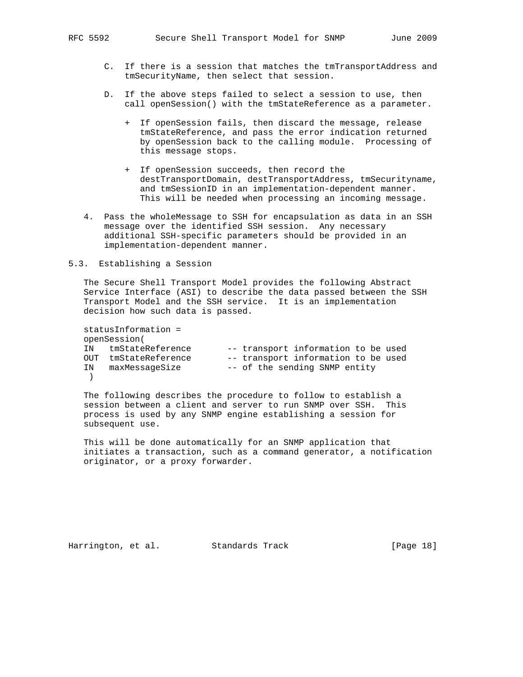- C. If there is a session that matches the tmTransportAddress and tmSecurityName, then select that session.
- D. If the above steps failed to select a session to use, then call openSession() with the tmStateReference as a parameter.
	- + If openSession fails, then discard the message, release tmStateReference, and pass the error indication returned by openSession back to the calling module. Processing of this message stops.
	- + If openSession succeeds, then record the destTransportDomain, destTransportAddress, tmSecurityname, and tmSessionID in an implementation-dependent manner. This will be needed when processing an incoming message.
- 4. Pass the wholeMessage to SSH for encapsulation as data in an SSH message over the identified SSH session. Any necessary additional SSH-specific parameters should be provided in an implementation-dependent manner.

## 5.3. Establishing a Session

 The Secure Shell Transport Model provides the following Abstract Service Interface (ASI) to describe the data passed between the SSH Transport Model and the SSH service. It is an implementation decision how such data is passed.

```
 statusInformation =
   openSession(
 IN tmStateReference -- transport information to be used
 OUT tmStateReference -- transport information to be used
 IN maxMessageSize -- of the sending SNMP entity
   )
```
 The following describes the procedure to follow to establish a session between a client and server to run SNMP over SSH. This process is used by any SNMP engine establishing a session for subsequent use.

 This will be done automatically for an SNMP application that initiates a transaction, such as a command generator, a notification originator, or a proxy forwarder.

Harrington, et al. Standards Track [Page 18]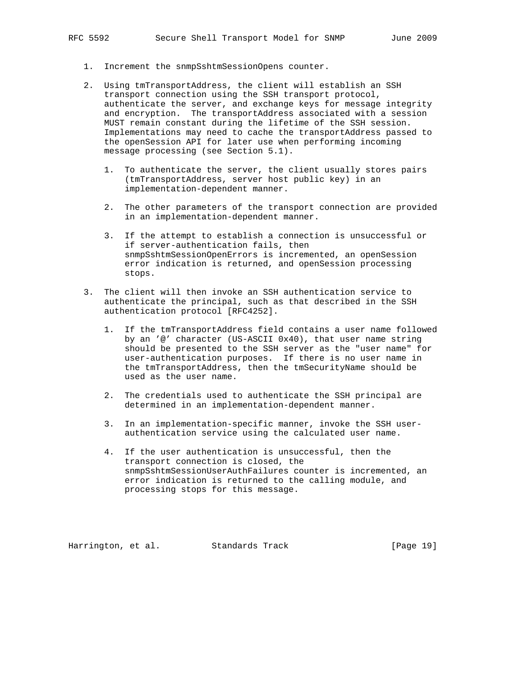- 1. Increment the snmpSshtmSessionOpens counter.
- 2. Using tmTransportAddress, the client will establish an SSH transport connection using the SSH transport protocol, authenticate the server, and exchange keys for message integrity and encryption. The transportAddress associated with a session MUST remain constant during the lifetime of the SSH session. Implementations may need to cache the transportAddress passed to the openSession API for later use when performing incoming message processing (see Section 5.1).
	- 1. To authenticate the server, the client usually stores pairs (tmTransportAddress, server host public key) in an implementation-dependent manner.
	- 2. The other parameters of the transport connection are provided in an implementation-dependent manner.
	- 3. If the attempt to establish a connection is unsuccessful or if server-authentication fails, then snmpSshtmSessionOpenErrors is incremented, an openSession error indication is returned, and openSession processing stops.
- 3. The client will then invoke an SSH authentication service to authenticate the principal, such as that described in the SSH authentication protocol [RFC4252].
	- 1. If the tmTransportAddress field contains a user name followed by an '@' character (US-ASCII 0x40), that user name string should be presented to the SSH server as the "user name" for user-authentication purposes. If there is no user name in the tmTransportAddress, then the tmSecurityName should be used as the user name.
	- 2. The credentials used to authenticate the SSH principal are determined in an implementation-dependent manner.
	- 3. In an implementation-specific manner, invoke the SSH user authentication service using the calculated user name.
	- 4. If the user authentication is unsuccessful, then the transport connection is closed, the snmpSshtmSessionUserAuthFailures counter is incremented, an error indication is returned to the calling module, and processing stops for this message.

Harrington, et al. Standards Track [Page 19]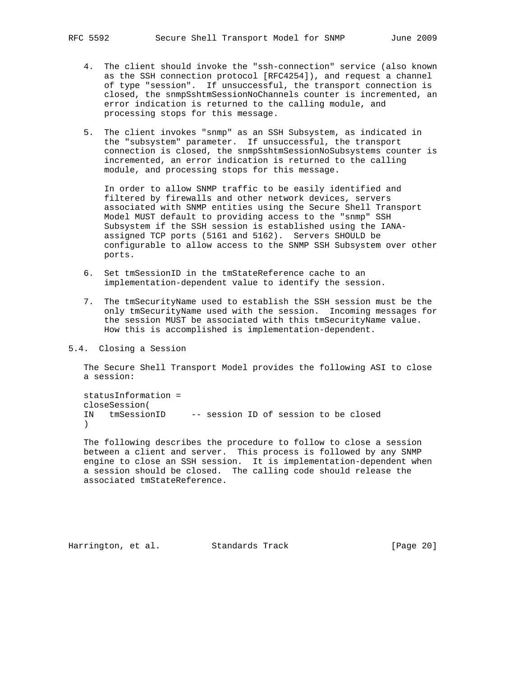- 4. The client should invoke the "ssh-connection" service (also known as the SSH connection protocol [RFC4254]), and request a channel of type "session". If unsuccessful, the transport connection is closed, the snmpSshtmSessionNoChannels counter is incremented, an error indication is returned to the calling module, and processing stops for this message.
- 5. The client invokes "snmp" as an SSH Subsystem, as indicated in the "subsystem" parameter. If unsuccessful, the transport connection is closed, the snmpSshtmSessionNoSubsystems counter is incremented, an error indication is returned to the calling module, and processing stops for this message.

 In order to allow SNMP traffic to be easily identified and filtered by firewalls and other network devices, servers associated with SNMP entities using the Secure Shell Transport Model MUST default to providing access to the "snmp" SSH Subsystem if the SSH session is established using the IANA assigned TCP ports (5161 and 5162). Servers SHOULD be configurable to allow access to the SNMP SSH Subsystem over other ports.

- 6. Set tmSessionID in the tmStateReference cache to an implementation-dependent value to identify the session.
- 7. The tmSecurityName used to establish the SSH session must be the only tmSecurityName used with the session. Incoming messages for the session MUST be associated with this tmSecurityName value. How this is accomplished is implementation-dependent.

5.4. Closing a Session

 The Secure Shell Transport Model provides the following ASI to close a session:

 statusInformation = closeSession( IN tmSessionID -- session ID of session to be closed  $\lambda$ 

 The following describes the procedure to follow to close a session between a client and server. This process is followed by any SNMP engine to close an SSH session. It is implementation-dependent when a session should be closed. The calling code should release the associated tmStateReference.

Harrington, et al. Standards Track [Page 20]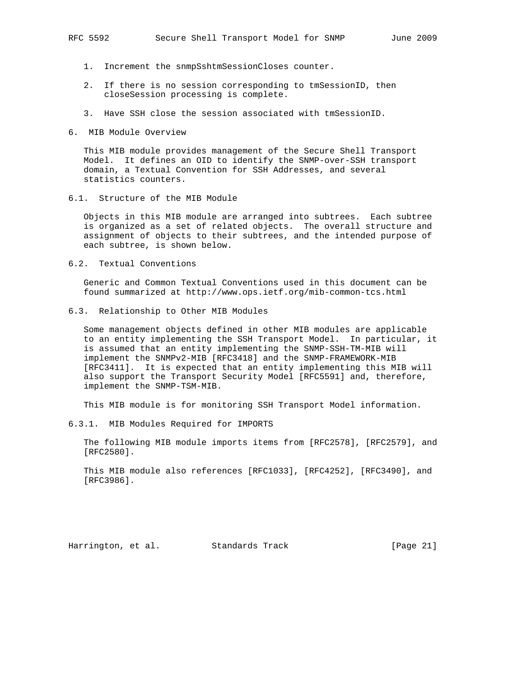- 1. Increment the snmpSshtmSessionCloses counter.
- 2. If there is no session corresponding to tmSessionID, then closeSession processing is complete.
- 3. Have SSH close the session associated with tmSessionID.
- 6. MIB Module Overview

 This MIB module provides management of the Secure Shell Transport Model. It defines an OID to identify the SNMP-over-SSH transport domain, a Textual Convention for SSH Addresses, and several statistics counters.

6.1. Structure of the MIB Module

 Objects in this MIB module are arranged into subtrees. Each subtree is organized as a set of related objects. The overall structure and assignment of objects to their subtrees, and the intended purpose of each subtree, is shown below.

6.2. Textual Conventions

 Generic and Common Textual Conventions used in this document can be found summarized at http://www.ops.ietf.org/mib-common-tcs.html

6.3. Relationship to Other MIB Modules

 Some management objects defined in other MIB modules are applicable to an entity implementing the SSH Transport Model. In particular, it is assumed that an entity implementing the SNMP-SSH-TM-MIB will implement the SNMPv2-MIB [RFC3418] and the SNMP-FRAMEWORK-MIB [RFC3411]. It is expected that an entity implementing this MIB will also support the Transport Security Model [RFC5591] and, therefore, implement the SNMP-TSM-MIB.

This MIB module is for monitoring SSH Transport Model information.

6.3.1. MIB Modules Required for IMPORTS

 The following MIB module imports items from [RFC2578], [RFC2579], and [RFC2580].

 This MIB module also references [RFC1033], [RFC4252], [RFC3490], and [RFC3986].

Harrington, et al. Standards Track [Page 21]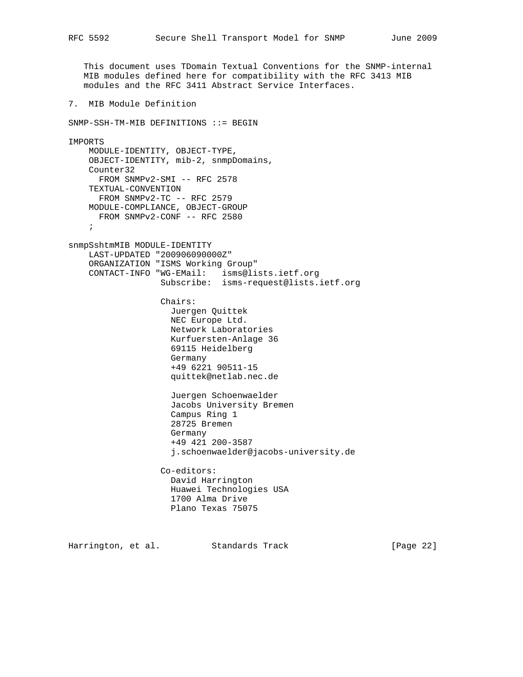This document uses TDomain Textual Conventions for the SNMP-internal MIB modules defined here for compatibility with the RFC 3413 MIB modules and the RFC 3411 Abstract Service Interfaces. 7. MIB Module Definition SNMP-SSH-TM-MIB DEFINITIONS ::= BEGIN IMPORTS MODULE-IDENTITY, OBJECT-TYPE, OBJECT-IDENTITY, mib-2, snmpDomains, Counter32 FROM SNMPv2-SMI -- RFC 2578 TEXTUAL-CONVENTION FROM SNMPv2-TC -- RFC 2579 MODULE-COMPLIANCE, OBJECT-GROUP FROM SNMPv2-CONF -- RFC 2580 ; snmpSshtmMIB MODULE-IDENTITY LAST-UPDATED "200906090000Z" ORGANIZATION "ISMS Working Group" CONTACT-INFO "WG-EMail: isms@lists.ietf.org Subscribe: isms-request@lists.ietf.org Chairs: Juergen Quittek NEC Europe Ltd. Network Laboratories Kurfuersten-Anlage 36 69115 Heidelberg Germany +49 6221 90511-15 quittek@netlab.nec.de Juergen Schoenwaelder Jacobs University Bremen Campus Ring 1 28725 Bremen Germany +49 421 200-3587 j.schoenwaelder@jacobs-university.de Co-editors: David Harrington Huawei Technologies USA 1700 Alma Drive Plano Texas 75075

Harrington, et al. Standards Track [Page 22]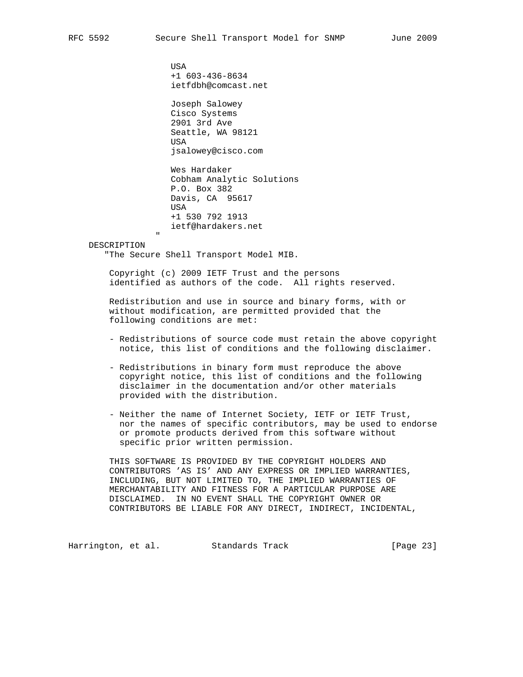USA +1 603-436-8634 ietfdbh@comcast.net

 Joseph Salowey Cisco Systems 2901 3rd Ave Seattle, WA 98121 USA jsalowey@cisco.com

 Wes Hardaker Cobham Analytic Solutions P.O. Box 382 Davis, CA 95617 USA +1 530 792 1913 ietf@hardakers.net

### " DESCRIPTION

"The Secure Shell Transport Model MIB.

 Copyright (c) 2009 IETF Trust and the persons identified as authors of the code. All rights reserved.

 Redistribution and use in source and binary forms, with or without modification, are permitted provided that the following conditions are met:

- Redistributions of source code must retain the above copyright notice, this list of conditions and the following disclaimer.
- Redistributions in binary form must reproduce the above copyright notice, this list of conditions and the following disclaimer in the documentation and/or other materials provided with the distribution.
- Neither the name of Internet Society, IETF or IETF Trust, nor the names of specific contributors, may be used to endorse or promote products derived from this software without specific prior written permission.

 THIS SOFTWARE IS PROVIDED BY THE COPYRIGHT HOLDERS AND CONTRIBUTORS 'AS IS' AND ANY EXPRESS OR IMPLIED WARRANTIES, INCLUDING, BUT NOT LIMITED TO, THE IMPLIED WARRANTIES OF MERCHANTABILITY AND FITNESS FOR A PARTICULAR PURPOSE ARE DISCLAIMED. IN NO EVENT SHALL THE COPYRIGHT OWNER OR CONTRIBUTORS BE LIABLE FOR ANY DIRECT, INDIRECT, INCIDENTAL,

Harrington, et al. Standards Track [Page 23]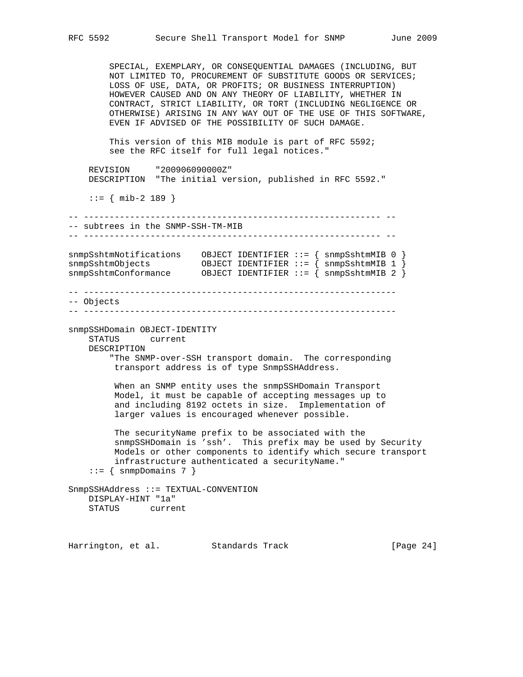SPECIAL, EXEMPLARY, OR CONSEQUENTIAL DAMAGES (INCLUDING, BUT NOT LIMITED TO, PROCUREMENT OF SUBSTITUTE GOODS OR SERVICES; LOSS OF USE, DATA, OR PROFITS; OR BUSINESS INTERRUPTION) HOWEVER CAUSED AND ON ANY THEORY OF LIABILITY, WHETHER IN CONTRACT, STRICT LIABILITY, OR TORT (INCLUDING NEGLIGENCE OR OTHERWISE) ARISING IN ANY WAY OUT OF THE USE OF THIS SOFTWARE, EVEN IF ADVISED OF THE POSSIBILITY OF SUCH DAMAGE. This version of this MIB module is part of RFC 5592; see the RFC itself for full legal notices." REVISION "200906090000Z" DESCRIPTION "The initial version, published in RFC 5592." ::= { mib-2 189 } -- ---------------------------------------------------------- -- -- subtrees in the SNMP-SSH-TM-MIB -- ---------------------------------------------------------- - snmpSshtmNotifications OBJECT IDENTIFIER ::= { snmpSshtmMIB 0 } snmpSshtmObjects OBJECT IDENTIFIER ::= { snmpSshtmMIB 1 } snmpSshtmConformance OBJECT IDENTIFIER ::= { snmpSshtmMIB 2 } -- ------------------------------------------------------------- -- Objects -- ------------------------------------------------------------ snmpSSHDomain OBJECT-IDENTITY STATUS current DESCRIPTION "The SNMP-over-SSH transport domain. The corresponding transport address is of type SnmpSSHAddress. When an SNMP entity uses the snmpSSHDomain Transport Model, it must be capable of accepting messages up to and including 8192 octets in size. Implementation of larger values is encouraged whenever possible. The securityName prefix to be associated with the snmpSSHDomain is 'ssh'. This prefix may be used by Security Models or other components to identify which secure transport infrastructure authenticated a securityName."  $::=$  { snmpDomains 7 } SnmpSSHAddress ::= TEXTUAL-CONVENTION DISPLAY-HINT "1a" STATUS current

Harrington, et al. Standards Track [Page 24]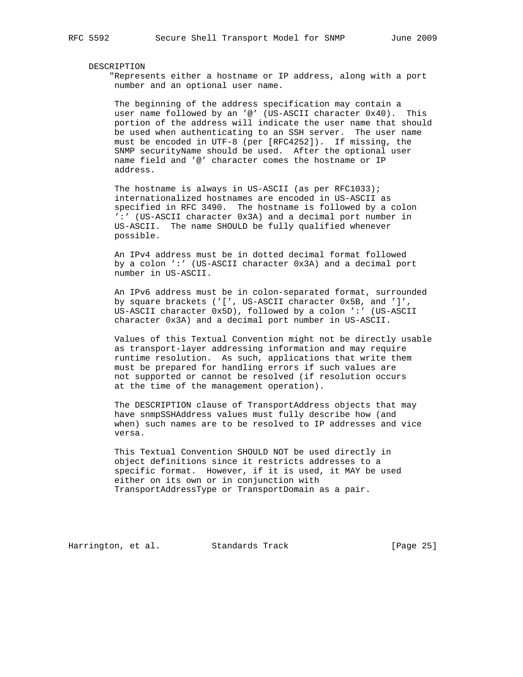#### DESCRIPTION

 "Represents either a hostname or IP address, along with a port number and an optional user name.

 The beginning of the address specification may contain a user name followed by an '@' (US-ASCII character 0x40). This portion of the address will indicate the user name that should be used when authenticating to an SSH server. The user name must be encoded in UTF-8 (per [RFC4252]). If missing, the SNMP securityName should be used. After the optional user name field and '@' character comes the hostname or IP address.

The hostname is always in US-ASCII (as per RFC1033); internationalized hostnames are encoded in US-ASCII as specified in RFC 3490. The hostname is followed by a colon ':' (US-ASCII character 0x3A) and a decimal port number in US-ASCII. The name SHOULD be fully qualified whenever possible.

 An IPv4 address must be in dotted decimal format followed by a colon ':' (US-ASCII character 0x3A) and a decimal port number in US-ASCII.

 An IPv6 address must be in colon-separated format, surrounded by square brackets ('[', US-ASCII character 0x5B, and ']', US-ASCII character 0x5D), followed by a colon ':' (US-ASCII character 0x3A) and a decimal port number in US-ASCII.

 Values of this Textual Convention might not be directly usable as transport-layer addressing information and may require runtime resolution. As such, applications that write them must be prepared for handling errors if such values are not supported or cannot be resolved (if resolution occurs at the time of the management operation).

 The DESCRIPTION clause of TransportAddress objects that may have snmpSSHAddress values must fully describe how (and when) such names are to be resolved to IP addresses and vice versa.

 This Textual Convention SHOULD NOT be used directly in object definitions since it restricts addresses to a specific format. However, if it is used, it MAY be used either on its own or in conjunction with TransportAddressType or TransportDomain as a pair.

Harrington, et al. Standards Track [Page 25]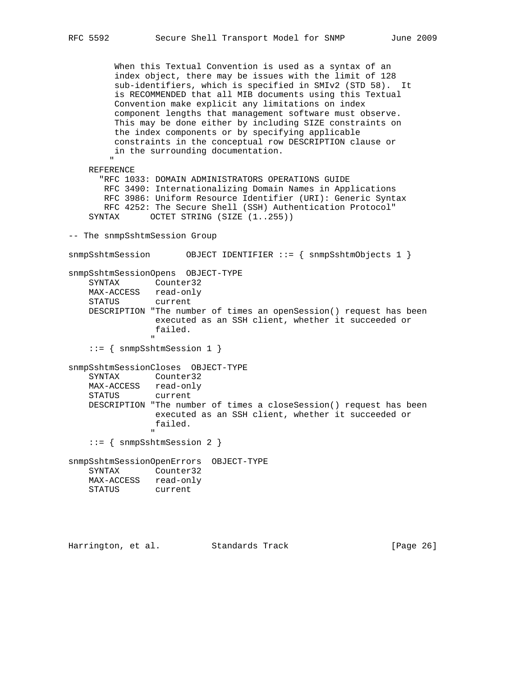When this Textual Convention is used as a syntax of an index object, there may be issues with the limit of 128 sub-identifiers, which is specified in SMIv2 (STD 58). It is RECOMMENDED that all MIB documents using this Textual Convention make explicit any limitations on index component lengths that management software must observe. This may be done either by including SIZE constraints on the index components or by specifying applicable constraints in the conceptual row DESCRIPTION clause or in the surrounding documentation. " REFERENCE "RFC 1033: DOMAIN ADMINISTRATORS OPERATIONS GUIDE RFC 3490: Internationalizing Domain Names in Applications RFC 3986: Uniform Resource Identifier (URI): Generic Syntax RFC 4252: The Secure Shell (SSH) Authentication Protocol" SYNTAX OCTET STRING (SIZE  $(1..255)$ ) -- The snmpSshtmSession Group snmpSshtmSession OBJECT IDENTIFIER ::= { snmpSshtmObjects 1 } snmpSshtmSessionOpens OBJECT-TYPE SYNTAX Counter32 MAX-ACCESS read-only STATUS current DESCRIPTION "The number of times an openSession() request has been executed as an SSH client, whether it succeeded or failed. " ::= { snmpSshtmSession 1 } snmpSshtmSessionCloses OBJECT-TYPE SYNTAX Counter32 MAX-ACCESS read-only STATUS current DESCRIPTION "The number of times a closeSession() request has been executed as an SSH client, whether it succeeded or failed. " "The contract of the contract of the contract of the contract of the contract of the contract of the contract of the contract of the contract of the contract of the contract of the contract of the contract of the contrac ::= { snmpSshtmSession 2 } snmpSshtmSessionOpenErrors OBJECT-TYPE SYNTAX Counter32 MAX-ACCESS read-only STATUS current

Harrington, et al. Standards Track [Page 26]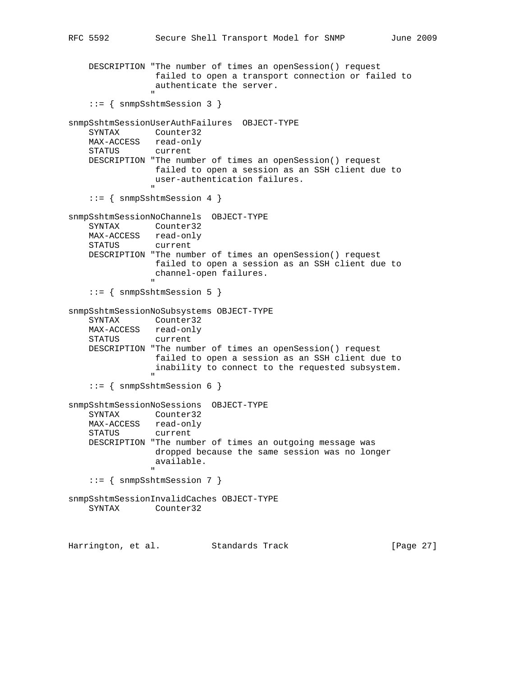```
RFC 5592 Secure Shell Transport Model for SNMP June 2009
       DESCRIPTION "The number of times an openSession() request
                           failed to open a transport connection or failed to
                          authenticate the server.
" "The contract of the contract of the contract of the contract of the contract of the contract of the contract of the contract of the contract of the contract of the contract of the contract of the contract of the contrac
       ::= { snmpSshtmSession 3 }
snmpSshtmSessionUserAuthFailures OBJECT-TYPE
       SYNTAX Counter32
       MAX-ACCESS read-only
       STATUS current
      DESCRIPTION "The number of times an openSession() request
                         failed to open a session as an SSH client due to
                          user-authentication failures.
" "The contract of the contract of the contract of the contract of the contract of the contract of the contract of the contract of the contract of the contract of the contract of the contract of the contract of the contrac
       ::= { snmpSshtmSession 4 }
snmpSshtmSessionNoChannels OBJECT-TYPE
       SYNTAX Counter32
      MAX-ACCESS read-only
       STATUS current
       DESCRIPTION "The number of times an openSession() request
                          failed to open a session as an SSH client due to
                          channel-open failures.
 "
       ::= { snmpSshtmSession 5 }
snmpSshtmSessionNoSubsystems OBJECT-TYPE
       SYNTAX Counter32
      MAX-ACCESS read-only
       STATUS current
       DESCRIPTION "The number of times an openSession() request
                          failed to open a session as an SSH client due to
                          inability to connect to the requested subsystem.
" "The contract of the contract of the contract of the contract of the contract of the contract of the contract of the contract of the contract of the contract of the contract of the contract of the contract of the contrac
       ::= { snmpSshtmSession 6 }
snmpSshtmSessionNoSessions OBJECT-TYPE
       SYNTAX Counter32
      MAX-ACCESS read-only
       STATUS current
      DESCRIPTION "The number of times an outgoing message was
                          dropped because the same session was no longer
                          available.
" "The contract of the contract of the contract of the contract of the contract of the contract of the contract of the contract of the contract of the contract of the contract of the contract of the contract of the contrac
       ::= { snmpSshtmSession 7 }
snmpSshtmSessionInvalidCaches OBJECT-TYPE
       SYNTAX Counter32
```
Harrington, et al. Standards Track [Page 27]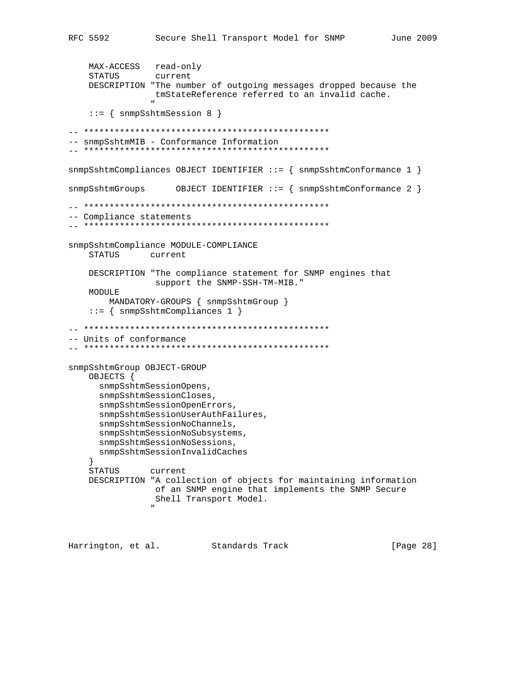```
 MAX-ACCESS read-only
     STATUS current
     DESCRIPTION "The number of outgoing messages dropped because the
                   tmStateReference referred to an invalid cache.
" "The contract of the contract of the contract of the contract of the contract of the contract of the contract of the contract of the contract of the contract of the contract of the contract of the contract of the contrac
     ::= { snmpSshtmSession 8 }
-- ************************************************
-- snmpSshtmMIB - Conformance Information
-- ************************************************
snmpSshtmCompliances OBJECT IDENTIFIER ::= { snmpSshtmConformance 1 }
snmpSshtmGroups OBJECT IDENTIFIER ::= { snmpSshtmConformance 2 }
-- ************************************************
-- Compliance statements
-- ************************************************
snmpSshtmCompliance MODULE-COMPLIANCE
     STATUS current
     DESCRIPTION "The compliance statement for SNMP engines that
                    support the SNMP-SSH-TM-MIB."
     MODULE
          MANDATORY-GROUPS { snmpSshtmGroup }
     ::= { snmpSshtmCompliances 1 }
-- ************************************************
-- Units of conformance
-- ************************************************
snmpSshtmGroup OBJECT-GROUP
     OBJECTS {
       snmpSshtmSessionOpens,
       snmpSshtmSessionCloses,
       snmpSshtmSessionOpenErrors,
        snmpSshtmSessionUserAuthFailures,
        snmpSshtmSessionNoChannels,
        snmpSshtmSessionNoSubsystems,
       snmpSshtmSessionNoSessions,
       snmpSshtmSessionInvalidCaches
 }
     STATUS current
     DESCRIPTION "A collection of objects for maintaining information
                   of an SNMP engine that implements the SNMP Secure
                   Shell Transport Model.
 "
```
Harrington, et al. Standards Track [Page 28]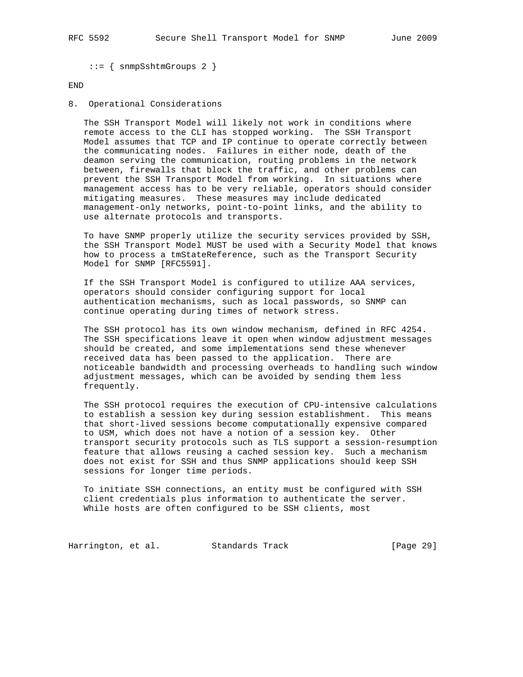::= { snmpSshtmGroups 2 }

### END

8. Operational Considerations

 The SSH Transport Model will likely not work in conditions where remote access to the CLI has stopped working. The SSH Transport Model assumes that TCP and IP continue to operate correctly between the communicating nodes. Failures in either node, death of the deamon serving the communication, routing problems in the network between, firewalls that block the traffic, and other problems can prevent the SSH Transport Model from working. In situations where management access has to be very reliable, operators should consider mitigating measures. These measures may include dedicated management-only networks, point-to-point links, and the ability to use alternate protocols and transports.

 To have SNMP properly utilize the security services provided by SSH, the SSH Transport Model MUST be used with a Security Model that knows how to process a tmStateReference, such as the Transport Security Model for SNMP [RFC5591].

 If the SSH Transport Model is configured to utilize AAA services, operators should consider configuring support for local authentication mechanisms, such as local passwords, so SNMP can continue operating during times of network stress.

 The SSH protocol has its own window mechanism, defined in RFC 4254. The SSH specifications leave it open when window adjustment messages should be created, and some implementations send these whenever received data has been passed to the application. There are noticeable bandwidth and processing overheads to handling such window adjustment messages, which can be avoided by sending them less frequently.

 The SSH protocol requires the execution of CPU-intensive calculations to establish a session key during session establishment. This means that short-lived sessions become computationally expensive compared to USM, which does not have a notion of a session key. Other transport security protocols such as TLS support a session-resumption feature that allows reusing a cached session key. Such a mechanism does not exist for SSH and thus SNMP applications should keep SSH sessions for longer time periods.

 To initiate SSH connections, an entity must be configured with SSH client credentials plus information to authenticate the server. While hosts are often configured to be SSH clients, most

Harrington, et al. Standards Track [Page 29]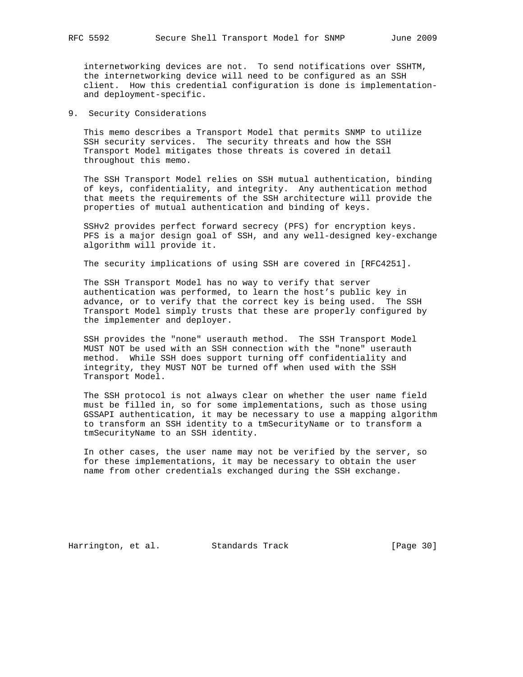internetworking devices are not. To send notifications over SSHTM, the internetworking device will need to be configured as an SSH client. How this credential configuration is done is implementation and deployment-specific.

9. Security Considerations

 This memo describes a Transport Model that permits SNMP to utilize SSH security services. The security threats and how the SSH Transport Model mitigates those threats is covered in detail throughout this memo.

 The SSH Transport Model relies on SSH mutual authentication, binding of keys, confidentiality, and integrity. Any authentication method that meets the requirements of the SSH architecture will provide the properties of mutual authentication and binding of keys.

 SSHv2 provides perfect forward secrecy (PFS) for encryption keys. PFS is a major design goal of SSH, and any well-designed key-exchange algorithm will provide it.

The security implications of using SSH are covered in [RFC4251].

 The SSH Transport Model has no way to verify that server authentication was performed, to learn the host's public key in advance, or to verify that the correct key is being used. The SSH Transport Model simply trusts that these are properly configured by the implementer and deployer.

 SSH provides the "none" userauth method. The SSH Transport Model MUST NOT be used with an SSH connection with the "none" userauth method. While SSH does support turning off confidentiality and integrity, they MUST NOT be turned off when used with the SSH Transport Model.

 The SSH protocol is not always clear on whether the user name field must be filled in, so for some implementations, such as those using GSSAPI authentication, it may be necessary to use a mapping algorithm to transform an SSH identity to a tmSecurityName or to transform a tmSecurityName to an SSH identity.

 In other cases, the user name may not be verified by the server, so for these implementations, it may be necessary to obtain the user name from other credentials exchanged during the SSH exchange.

Harrington, et al. Standards Track [Page 30]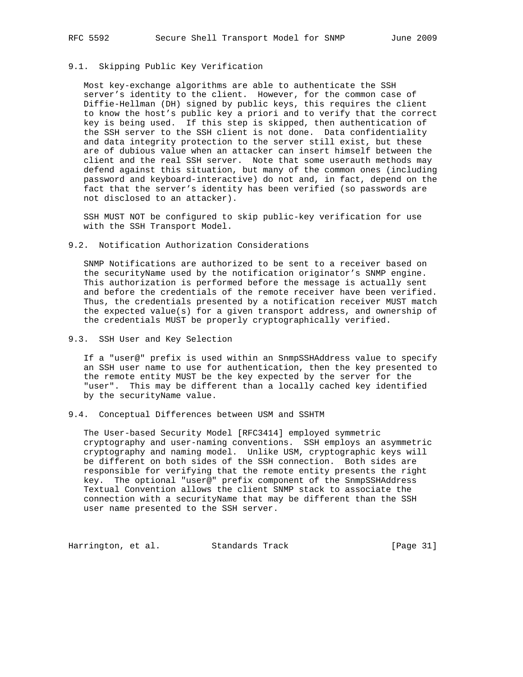# 9.1. Skipping Public Key Verification

 Most key-exchange algorithms are able to authenticate the SSH server's identity to the client. However, for the common case of Diffie-Hellman (DH) signed by public keys, this requires the client to know the host's public key a priori and to verify that the correct key is being used. If this step is skipped, then authentication of the SSH server to the SSH client is not done. Data confidentiality and data integrity protection to the server still exist, but these are of dubious value when an attacker can insert himself between the client and the real SSH server. Note that some userauth methods may defend against this situation, but many of the common ones (including password and keyboard-interactive) do not and, in fact, depend on the fact that the server's identity has been verified (so passwords are not disclosed to an attacker).

 SSH MUST NOT be configured to skip public-key verification for use with the SSH Transport Model.

### 9.2. Notification Authorization Considerations

 SNMP Notifications are authorized to be sent to a receiver based on the securityName used by the notification originator's SNMP engine. This authorization is performed before the message is actually sent and before the credentials of the remote receiver have been verified. Thus, the credentials presented by a notification receiver MUST match the expected value(s) for a given transport address, and ownership of the credentials MUST be properly cryptographically verified.

9.3. SSH User and Key Selection

 If a "user@" prefix is used within an SnmpSSHAddress value to specify an SSH user name to use for authentication, then the key presented to the remote entity MUST be the key expected by the server for the "user". This may be different than a locally cached key identified by the securityName value.

9.4. Conceptual Differences between USM and SSHTM

 The User-based Security Model [RFC3414] employed symmetric cryptography and user-naming conventions. SSH employs an asymmetric cryptography and naming model. Unlike USM, cryptographic keys will be different on both sides of the SSH connection. Both sides are responsible for verifying that the remote entity presents the right key. The optional "user@" prefix component of the SnmpSSHAddress Textual Convention allows the client SNMP stack to associate the connection with a securityName that may be different than the SSH user name presented to the SSH server.

Harrington, et al. Standards Track [Page 31]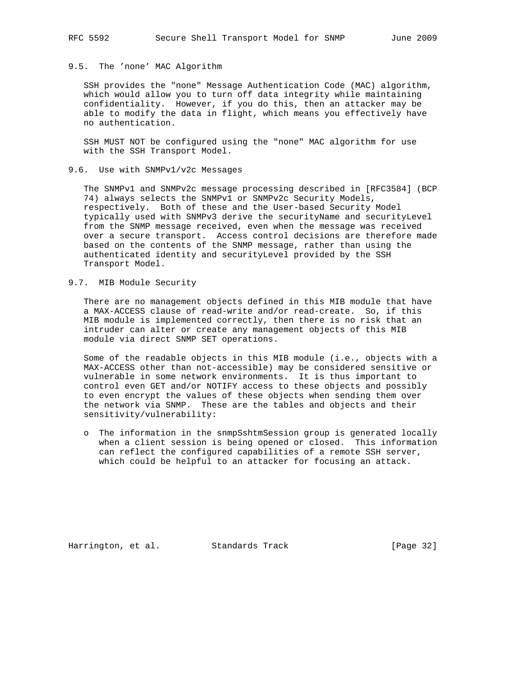# 9.5. The 'none' MAC Algorithm

 SSH provides the "none" Message Authentication Code (MAC) algorithm, which would allow you to turn off data integrity while maintaining confidentiality. However, if you do this, then an attacker may be able to modify the data in flight, which means you effectively have no authentication.

 SSH MUST NOT be configured using the "none" MAC algorithm for use with the SSH Transport Model.

### 9.6. Use with SNMPv1/v2c Messages

 The SNMPv1 and SNMPv2c message processing described in [RFC3584] (BCP 74) always selects the SNMPv1 or SNMPv2c Security Models, respectively. Both of these and the User-based Security Model typically used with SNMPv3 derive the securityName and securityLevel from the SNMP message received, even when the message was received over a secure transport. Access control decisions are therefore made based on the contents of the SNMP message, rather than using the authenticated identity and securityLevel provided by the SSH Transport Model.

## 9.7. MIB Module Security

 There are no management objects defined in this MIB module that have a MAX-ACCESS clause of read-write and/or read-create. So, if this MIB module is implemented correctly, then there is no risk that an intruder can alter or create any management objects of this MIB module via direct SNMP SET operations.

 Some of the readable objects in this MIB module (i.e., objects with a MAX-ACCESS other than not-accessible) may be considered sensitive or vulnerable in some network environments. It is thus important to control even GET and/or NOTIFY access to these objects and possibly to even encrypt the values of these objects when sending them over the network via SNMP. These are the tables and objects and their sensitivity/vulnerability:

 o The information in the snmpSshtmSession group is generated locally when a client session is being opened or closed. This information can reflect the configured capabilities of a remote SSH server, which could be helpful to an attacker for focusing an attack.

Harrington, et al. Standards Track [Page 32]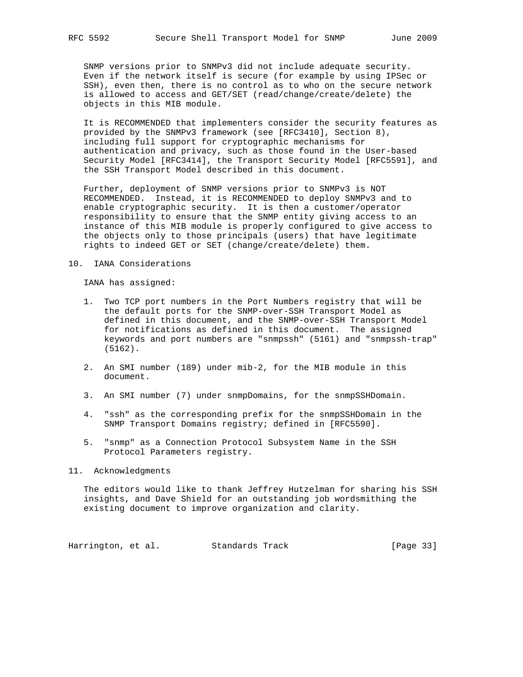SNMP versions prior to SNMPv3 did not include adequate security. Even if the network itself is secure (for example by using IPSec or SSH), even then, there is no control as to who on the secure network is allowed to access and GET/SET (read/change/create/delete) the objects in this MIB module.

 It is RECOMMENDED that implementers consider the security features as provided by the SNMPv3 framework (see [RFC3410], Section 8), including full support for cryptographic mechanisms for authentication and privacy, such as those found in the User-based Security Model [RFC3414], the Transport Security Model [RFC5591], and the SSH Transport Model described in this document.

 Further, deployment of SNMP versions prior to SNMPv3 is NOT RECOMMENDED. Instead, it is RECOMMENDED to deploy SNMPv3 and to enable cryptographic security. It is then a customer/operator responsibility to ensure that the SNMP entity giving access to an instance of this MIB module is properly configured to give access to the objects only to those principals (users) that have legitimate rights to indeed GET or SET (change/create/delete) them.

### 10. IANA Considerations

IANA has assigned:

- 1. Two TCP port numbers in the Port Numbers registry that will be the default ports for the SNMP-over-SSH Transport Model as defined in this document, and the SNMP-over-SSH Transport Model for notifications as defined in this document. The assigned keywords and port numbers are "snmpssh" (5161) and "snmpssh-trap" (5162).
- 2. An SMI number (189) under mib-2, for the MIB module in this document.
- 3. An SMI number (7) under snmpDomains, for the snmpSSHDomain.
- 4. "ssh" as the corresponding prefix for the snmpSSHDomain in the SNMP Transport Domains registry; defined in [RFC5590].
- 5. "snmp" as a Connection Protocol Subsystem Name in the SSH Protocol Parameters registry.

11. Acknowledgments

 The editors would like to thank Jeffrey Hutzelman for sharing his SSH insights, and Dave Shield for an outstanding job wordsmithing the existing document to improve organization and clarity.

Harrington, et al. Standards Track [Page 33]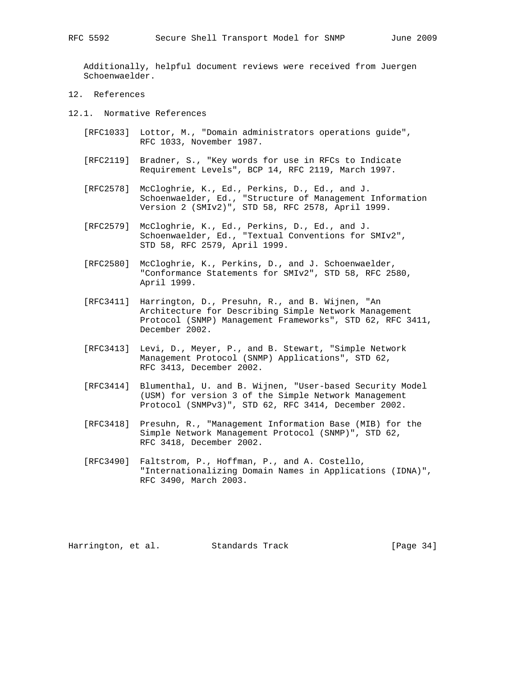Additionally, helpful document reviews were received from Juergen Schoenwaelder.

- 12. References
- 12.1. Normative References
	- [RFC1033] Lottor, M., "Domain administrators operations guide", RFC 1033, November 1987.
	- [RFC2119] Bradner, S., "Key words for use in RFCs to Indicate Requirement Levels", BCP 14, RFC 2119, March 1997.
	- [RFC2578] McCloghrie, K., Ed., Perkins, D., Ed., and J. Schoenwaelder, Ed., "Structure of Management Information Version 2 (SMIv2)", STD 58, RFC 2578, April 1999.
	- [RFC2579] McCloghrie, K., Ed., Perkins, D., Ed., and J. Schoenwaelder, Ed., "Textual Conventions for SMIv2", STD 58, RFC 2579, April 1999.
	- [RFC2580] McCloghrie, K., Perkins, D., and J. Schoenwaelder, "Conformance Statements for SMIv2", STD 58, RFC 2580, April 1999.
	- [RFC3411] Harrington, D., Presuhn, R., and B. Wijnen, "An Architecture for Describing Simple Network Management Protocol (SNMP) Management Frameworks", STD 62, RFC 3411, December 2002.
	- [RFC3413] Levi, D., Meyer, P., and B. Stewart, "Simple Network Management Protocol (SNMP) Applications", STD 62, RFC 3413, December 2002.
	- [RFC3414] Blumenthal, U. and B. Wijnen, "User-based Security Model (USM) for version 3 of the Simple Network Management Protocol (SNMPv3)", STD 62, RFC 3414, December 2002.
	- [RFC3418] Presuhn, R., "Management Information Base (MIB) for the Simple Network Management Protocol (SNMP)", STD 62, RFC 3418, December 2002.
	- [RFC3490] Faltstrom, P., Hoffman, P., and A. Costello, "Internationalizing Domain Names in Applications (IDNA)", RFC 3490, March 2003.

Harrington, et al. Standards Track [Page 34]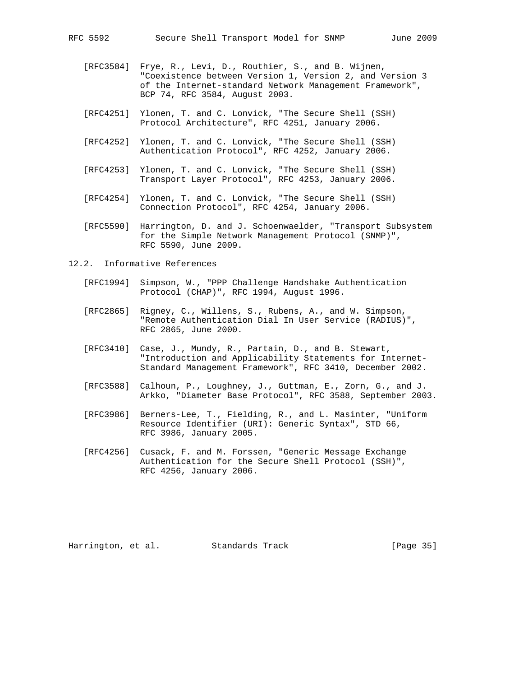- [RFC3584] Frye, R., Levi, D., Routhier, S., and B. Wijnen, "Coexistence between Version 1, Version 2, and Version 3 of the Internet-standard Network Management Framework", BCP 74, RFC 3584, August 2003.
- [RFC4251] Ylonen, T. and C. Lonvick, "The Secure Shell (SSH) Protocol Architecture", RFC 4251, January 2006.
- [RFC4252] Ylonen, T. and C. Lonvick, "The Secure Shell (SSH) Authentication Protocol", RFC 4252, January 2006.
- [RFC4253] Ylonen, T. and C. Lonvick, "The Secure Shell (SSH) Transport Layer Protocol", RFC 4253, January 2006.
- [RFC4254] Ylonen, T. and C. Lonvick, "The Secure Shell (SSH) Connection Protocol", RFC 4254, January 2006.
- [RFC5590] Harrington, D. and J. Schoenwaelder, "Transport Subsystem for the Simple Network Management Protocol (SNMP)", RFC 5590, June 2009.
- 12.2. Informative References
	- [RFC1994] Simpson, W., "PPP Challenge Handshake Authentication Protocol (CHAP)", RFC 1994, August 1996.
	- [RFC2865] Rigney, C., Willens, S., Rubens, A., and W. Simpson, "Remote Authentication Dial In User Service (RADIUS)", RFC 2865, June 2000.
	- [RFC3410] Case, J., Mundy, R., Partain, D., and B. Stewart, "Introduction and Applicability Statements for Internet- Standard Management Framework", RFC 3410, December 2002.
	- [RFC3588] Calhoun, P., Loughney, J., Guttman, E., Zorn, G., and J. Arkko, "Diameter Base Protocol", RFC 3588, September 2003.
	- [RFC3986] Berners-Lee, T., Fielding, R., and L. Masinter, "Uniform Resource Identifier (URI): Generic Syntax", STD 66, RFC 3986, January 2005.
	- [RFC4256] Cusack, F. and M. Forssen, "Generic Message Exchange Authentication for the Secure Shell Protocol (SSH)", RFC 4256, January 2006.

Harrington, et al. Standards Track [Page 35]